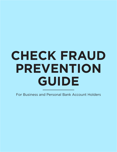# **CHECK FRAUD PREVENTION GUIDE**

For Business and Personal Bank Account Holders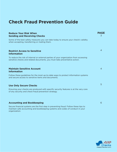## **Check Fraud Prevention Guide**

#### **Reduce Your Risk When Sending and Receiving Checks**

Some of the best safety measures you can take today to ensure your check's validity when accepting, transferring or mailing them.

#### **Restrict Access to Sensitive Information**

To reduce the risk of internal or external parties of your organization from accessing sensitive checks and related documents, you must take preventative action.

#### **Maintain Sensitive Account Information**

Follow these guidelines for the most up-to-date ways to protect information systems and secure access to sensitive items and documents.

#### **Use Only Secure Checks**

Ensuring your checks are produced with specific security features is at the very core of any security and check fraud prevention strategy.

#### **Accounting and Bookkeeping**

Secure financial systems are the first step in preventing fraud. Follow these tips to maintain safe accounting and bookkeeping systems and codes of conduct in your organization.



**PAGE** 3

4

4

5

6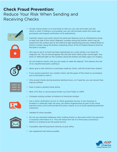## **Check Fraud Prevention:** Reduce Your Risk When Sending and Receiving Checks



- Accept checks drawn on a local bank so that you can visit and make sure the check is valid. If visiting is not possible, you can call the bank where the check was purchased, and request verification of its authenticity.
- Carefully inspect and verify checks for particular features such as: Perforations along at least one side of the check; Magnetic numbers along the bottom which may be raised from the surface due to the reflective light duplicating process; Federal Reserve District number along the bottom indicating which of the 12 Federal Reserve Districts the bank is located.
- One way to see if a check has been reproduced on a color printer is to check for magnetic ink. The ink should appear flat and dull when tilted under normal light. Any shine or reflected light on the numbers along the bottom are likely signs of a forgery.
- Do not endorse checks until you are ready to make the deposit. This reduces the risk of an unauthorized party cashing it.
- Never give a cash refund on a purchase made by check, until the funds have cleared.
- If you receive payment via a cashier check, ask the payer of the check to accompany you to the bank to cash it.
- Only accept checks during business banking hours, so if need be, you can ensure they may be verified.
- Have in place a posted check policy.
- Rent a P.O. Box or secure parcel locker e.g. from Fedex or USPS.
- Compare routing number on bottom to fractional number.
- Use a check verification service or check guarantee service. If your business is located in a relatively high-risk area, use inkless fingerprinting as part of the check payment policy and communicate this policy clearly so as to avoid upsetting potential customers.



- Validate ID when possible.
- Do not use unlocked mailboxes when mailing checks or document which has personal or business information in it. This will reduce the risk of a third party accessing it before it is picked up by the postal service.
- If possible, take bill payments directly to post office.
- Use registered mail where possible.

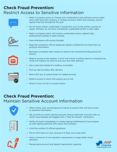## **Check Fraud Prevention:** Restrict Access to Sensitive Information







- Do not leave checks unattended in equipment such as the printer, scanner or copier. Similarly, do not leave checkbooks unattended and/or in plain sight.
- Make it company policy not to leave unattended checks, deposit slips, endorsement stamps or bank records.
- Have employees with access bonded.
- Keep the company's official signatures details confidential and treat them as sensitive information.
- Eliminate concealed areas nearby to reduce risk of potential hiding places for thieves.
- Restrict access to the mailbox. If your mail carrier is willing, leave an unlocked lock inside the mailbox for them to lock your box after delivery.
- Use a mail slot instead of a mailbox, if possible.
- Pick up mail promptly after delivery.
- Rent a P.O. box or parcel locker for added security.
- Restrict access to items that expose you to risk.
- Shred or burn all old or unused checks.

### **Check Fraud Prevention:** Maintain Sensitive Account Information



- When hiring, carry out background checks of anyone that will have access to sensitive information.
- Set up limits on check cashing amounts. Ensure particular accounts with no check issue facilities are flagged with a "Post No Checks" notification.

| J |  |
|---|--|
|   |  |
|   |  |
|   |  |
|   |  |

- Notify the bank immediately to revoke signing entitlements of any employee with signing authority who leaves the company.
- Limit the number of official signatories.
- Put an ACH block on your account if it does not accept ACH.
- Have a minimum of one signatory requirement on large dollar check amounts.







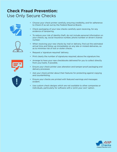## **Check Fraud Prevention:** Use Only Secure Checks





- Choose your check printer carefully, ensuring credibility, and for adherence to Check 21 as set out by the Federal Reserve Board..
- Check packaging of your new checks carefully upon receiving, for any evidence of tampering.
- To reduce your risk of identity theft, do not include personal information on your checks, eg. social insurance number, phone number or driver's license number.
- When receiving your new checks by mail or delivery, find out the estimated arrival time and follow up immediately on any late or mislaid deliveries, so as to minimise risk of lost or stolen checks.
- Request a 'signature required' delivery.
- Print clearly the number of signatures required, above the signature line.
- Arrange to have your new checkbooks delivered for you to collect directly from your bank, if possible.
- Ensure your check printer uses alteration and tamper-proof packaging and delivery processes
- Ask your check printer about their features for protecting against copying and counterfeiting.
- Ensure your checks are printed with featured warnings and messages evident.
- Use custom check designs which are not available to other companies or individuals, particularly for software with a 'print your own' option.